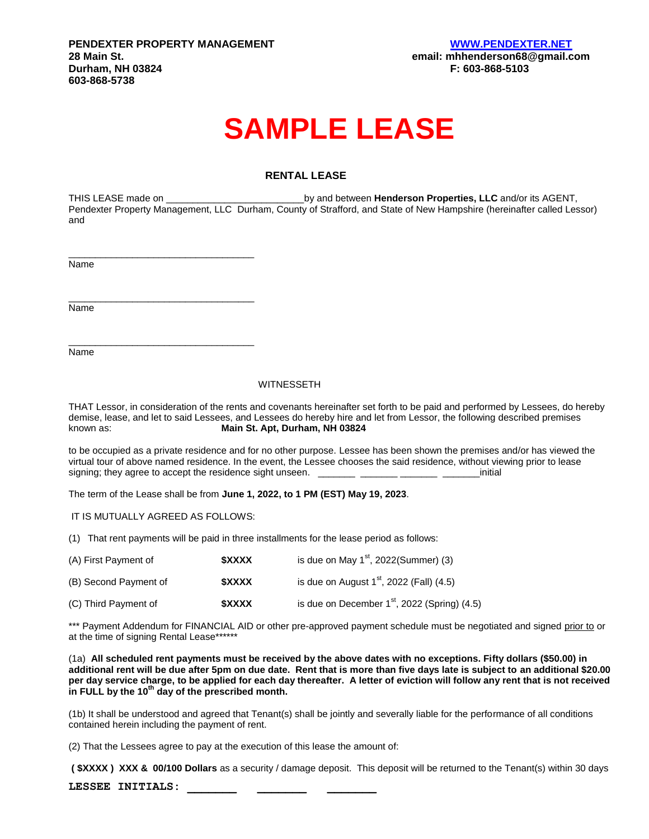\_\_\_\_\_\_\_\_\_\_\_\_\_\_\_\_\_\_\_\_\_\_\_\_\_\_\_\_\_\_\_\_\_\_\_

\_\_\_\_\_\_\_\_\_\_\_\_\_\_\_\_\_\_\_\_\_\_\_\_\_\_\_\_\_\_\_\_\_\_\_

\_\_\_\_\_\_\_\_\_\_\_\_\_\_\_\_\_\_\_\_\_\_\_\_\_\_\_\_\_\_\_\_\_\_\_

# **SAMPLE LEASE**

## **RENTAL LEASE**

THIS LEASE made on \_\_\_\_\_\_\_\_\_\_\_\_\_\_\_\_\_\_\_\_\_\_\_\_\_\_by and between **Henderson Properties, LLC** and/or its AGENT, Pendexter Property Management, LLC Durham, County of Strafford, and State of New Hampshire (hereinafter called Lessor) and

Name

Name

Name

## **WITNESSETH**

THAT Lessor, in consideration of the rents and covenants hereinafter set forth to be paid and performed by Lessees, do hereby demise, lease, and let to said Lessees, and Lessees do hereby hire and let from Lessor, the following described premises known as: **Main St. Apt, Durham, NH 03824**

to be occupied as a private residence and for no other purpose. Lessee has been shown the premises and/or has viewed the virtual tour of above named residence. In the event, the Lessee chooses the said residence, without viewing prior to lease signing; they agree to accept the residence sight unseen. \_\_\_\_\_\_\_ \_\_\_\_\_\_\_ \_\_\_\_\_\_\_ \_\_\_\_\_\_\_initial

The term of the Lease shall be from **June 1, 2022, to 1 PM (EST) May 19, 2023**.

IT IS MUTUALLY AGREED AS FOLLOWS:

(1) That rent payments will be paid in three installments for the lease period as follows:

| (A) First Payment of  | <b>SXXXX</b> | is due on May $1st$ , 2022(Summer) (3)         |
|-----------------------|--------------|------------------------------------------------|
| (B) Second Payment of | <b>SXXXX</b> | is due on August $1st$ , 2022 (Fall) (4.5)     |
| (C) Third Payment of  | <b>SXXXX</b> | is due on December $1st$ , 2022 (Spring) (4.5) |

\*\*\* Payment Addendum for FINANCIAL AID or other pre-approved payment schedule must be negotiated and signed prior to or at the time of signing Rental Lease\*\*\*\*\*\*\*

(1a) **All scheduled rent payments must be received by the above dates with no exceptions. Fifty dollars (\$50.00) in additional rent will be due after 5pm on due date. Rent that is more than five days late is subject to an additional \$20.00 per day service charge, to be applied for each day thereafter. A letter of eviction will follow any rent that is not received in FULL by the 10th day of the prescribed month.**

(1b) It shall be understood and agreed that Tenant(s) shall be jointly and severally liable for the performance of all conditions contained herein including the payment of rent.

(2) That the Lessees agree to pay at the execution of this lease the amount of:

**( \$XXXX ) XXX & 00/100 Dollars** as a security / damage deposit. This deposit will be returned to the Tenant(s) within 30 days

**LESSEE INITIALS: \_\_\_\_\_\_\_ \_\_\_\_\_\_\_ \_\_\_\_\_\_\_**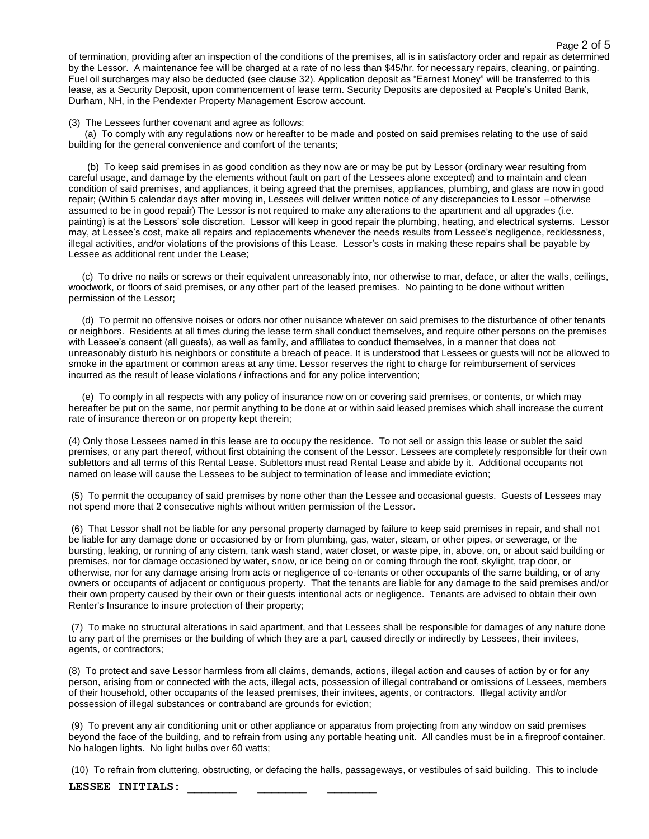Page 2 of 5 of termination, providing after an inspection of the conditions of the premises, all is in satisfactory order and repair as determined by the Lessor. A maintenance fee will be charged at a rate of no less than \$45/hr. for necessary repairs, cleaning, or painting. Fuel oil surcharges may also be deducted (see clause 32). Application deposit as "Earnest Money" will be transferred to this lease, as a Security Deposit, upon commencement of lease term. Security Deposits are deposited at People's United Bank, Durham, NH, in the Pendexter Property Management Escrow account.

(3) The Lessees further covenant and agree as follows:

 (a) To comply with any regulations now or hereafter to be made and posted on said premises relating to the use of said building for the general convenience and comfort of the tenants;

 (b) To keep said premises in as good condition as they now are or may be put by Lessor (ordinary wear resulting from careful usage, and damage by the elements without fault on part of the Lessees alone excepted) and to maintain and clean condition of said premises, and appliances, it being agreed that the premises, appliances, plumbing, and glass are now in good repair; (Within 5 calendar days after moving in, Lessees will deliver written notice of any discrepancies to Lessor --otherwise assumed to be in good repair) The Lessor is not required to make any alterations to the apartment and all upgrades (i.e. painting) is at the Lessors' sole discretion. Lessor will keep in good repair the plumbing, heating, and electrical systems. Lessor may, at Lessee's cost, make all repairs and replacements whenever the needs results from Lessee's negligence, recklessness, illegal activities, and/or violations of the provisions of this Lease. Lessor's costs in making these repairs shall be payable by Lessee as additional rent under the Lease;

 (c) To drive no nails or screws or their equivalent unreasonably into, nor otherwise to mar, deface, or alter the walls, ceilings, woodwork, or floors of said premises, or any other part of the leased premises. No painting to be done without written permission of the Lessor;

 (d) To permit no offensive noises or odors nor other nuisance whatever on said premises to the disturbance of other tenants or neighbors. Residents at all times during the lease term shall conduct themselves, and require other persons on the premises with Lessee's consent (all guests), as well as family, and affiliates to conduct themselves, in a manner that does not unreasonably disturb his neighbors or constitute a breach of peace. It is understood that Lessees or guests will not be allowed to smoke in the apartment or common areas at any time. Lessor reserves the right to charge for reimbursement of services incurred as the result of lease violations / infractions and for any police intervention;

 (e) To comply in all respects with any policy of insurance now on or covering said premises, or contents, or which may hereafter be put on the same, nor permit anything to be done at or within said leased premises which shall increase the current rate of insurance thereon or on property kept therein;

(4) Only those Lessees named in this lease are to occupy the residence. To not sell or assign this lease or sublet the said premises, or any part thereof, without first obtaining the consent of the Lessor. Lessees are completely responsible for their own sublettors and all terms of this Rental Lease. Sublettors must read Rental Lease and abide by it. Additional occupants not named on lease will cause the Lessees to be subject to termination of lease and immediate eviction;

(5) To permit the occupancy of said premises by none other than the Lessee and occasional guests. Guests of Lessees may not spend more that 2 consecutive nights without written permission of the Lessor.

(6) That Lessor shall not be liable for any personal property damaged by failure to keep said premises in repair, and shall not be liable for any damage done or occasioned by or from plumbing, gas, water, steam, or other pipes, or sewerage, or the bursting, leaking, or running of any cistern, tank wash stand, water closet, or waste pipe, in, above, on, or about said building or premises, nor for damage occasioned by water, snow, or ice being on or coming through the roof, skylight, trap door, or otherwise, nor for any damage arising from acts or negligence of co-tenants or other occupants of the same building, or of any owners or occupants of adjacent or contiguous property. That the tenants are liable for any damage to the said premises and/or their own property caused by their own or their guests intentional acts or negligence. Tenants are advised to obtain their own Renter's Insurance to insure protection of their property;

(7) To make no structural alterations in said apartment, and that Lessees shall be responsible for damages of any nature done to any part of the premises or the building of which they are a part, caused directly or indirectly by Lessees, their invitees, agents, or contractors;

(8) To protect and save Lessor harmless from all claims, demands, actions, illegal action and causes of action by or for any person, arising from or connected with the acts, illegal acts, possession of illegal contraband or omissions of Lessees, members of their household, other occupants of the leased premises, their invitees, agents, or contractors. Illegal activity and/or possession of illegal substances or contraband are grounds for eviction;

(9) To prevent any air conditioning unit or other appliance or apparatus from projecting from any window on said premises beyond the face of the building, and to refrain from using any portable heating unit. All candles must be in a fireproof container. No halogen lights. No light bulbs over 60 watts;

(10) To refrain from cluttering, obstructing, or defacing the halls, passageways, or vestibules of said building. This to include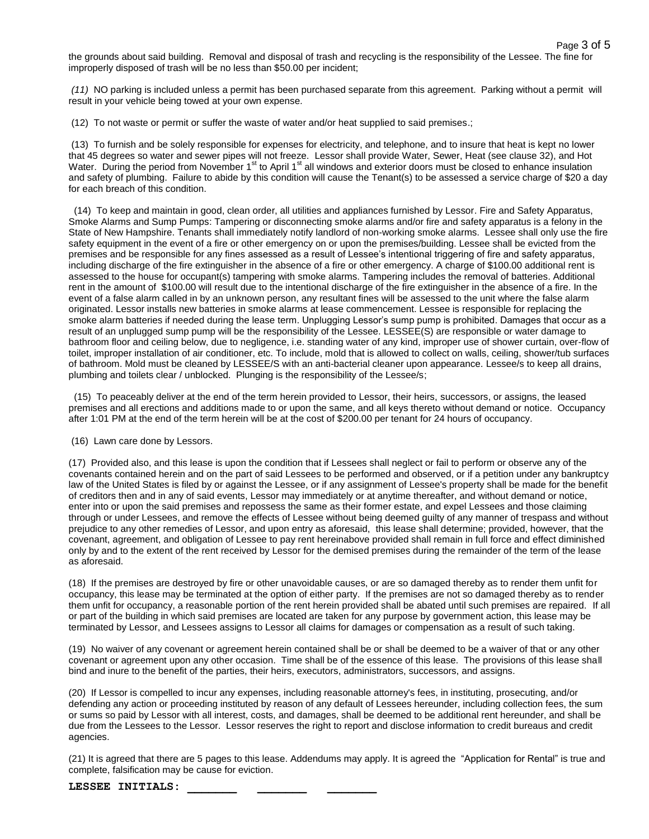Page 3 of 5 the grounds about said building. Removal and disposal of trash and recycling is the responsibility of the Lessee. The fine for improperly disposed of trash will be no less than \$50.00 per incident;

*(11)* NO parking is included unless a permit has been purchased separate from this agreement. Parking without a permit will result in your vehicle being towed at your own expense*.*

(12) To not waste or permit or suffer the waste of water and/or heat supplied to said premises.;

(13) To furnish and be solely responsible for expenses for electricity, and telephone, and to insure that heat is kept no lower that 45 degrees so water and sewer pipes will not freeze. Lessor shall provide Water, Sewer, Heat (see clause 32), and Hot Water. During the period from November 1<sup>st</sup> to April 1<sup>st</sup> all windows and exterior doors must be closed to enhance insulation and safety of plumbing. Failure to abide by this condition will cause the Tenant(s) to be assessed a service charge of \$20 a day for each breach of this condition.

 (14) To keep and maintain in good, clean order, all utilities and appliances furnished by Lessor. Fire and Safety Apparatus, Smoke Alarms and Sump Pumps: Tampering or disconnecting smoke alarms and/or fire and safety apparatus is a felony in the State of New Hampshire. Tenants shall immediately notify landlord of non-working smoke alarms. Lessee shall only use the fire safety equipment in the event of a fire or other emergency on or upon the premises/building. Lessee shall be evicted from the premises and be responsible for any fines assessed as a result of Lessee's intentional triggering of fire and safety apparatus, including discharge of the fire extinguisher in the absence of a fire or other emergency. A charge of \$100.00 additional rent is assessed to the house for occupant(s) tampering with smoke alarms. Tampering includes the removal of batteries. Additional rent in the amount of \$100.00 will result due to the intentional discharge of the fire extinguisher in the absence of a fire. In the event of a false alarm called in by an unknown person, any resultant fines will be assessed to the unit where the false alarm originated. Lessor installs new batteries in smoke alarms at lease commencement. Lessee is responsible for replacing the smoke alarm batteries if needed during the lease term. Unplugging Lessor's sump pump is prohibited. Damages that occur as a result of an unplugged sump pump will be the responsibility of the Lessee. LESSEE(S) are responsible or water damage to bathroom floor and ceiling below, due to negligence, i.e. standing water of any kind, improper use of shower curtain, over-flow of toilet, improper installation of air conditioner, etc. To include, mold that is allowed to collect on walls, ceiling, shower/tub surfaces of bathroom. Mold must be cleaned by LESSEE/S with an anti-bacterial cleaner upon appearance. Lessee/s to keep all drains, plumbing and toilets clear / unblocked. Plunging is the responsibility of the Lessee/s;

 (15) To peaceably deliver at the end of the term herein provided to Lessor, their heirs, successors, or assigns, the leased premises and all erections and additions made to or upon the same, and all keys thereto without demand or notice. Occupancy after 1:01 PM at the end of the term herein will be at the cost of \$200.00 per tenant for 24 hours of occupancy.

(16) Lawn care done by Lessors.

(17) Provided also, and this lease is upon the condition that if Lessees shall neglect or fail to perform or observe any of the covenants contained herein and on the part of said Lessees to be performed and observed, or if a petition under any bankruptcy law of the United States is filed by or against the Lessee, or if any assignment of Lessee's property shall be made for the benefit of creditors then and in any of said events, Lessor may immediately or at anytime thereafter, and without demand or notice, enter into or upon the said premises and repossess the same as their former estate, and expel Lessees and those claiming through or under Lessees, and remove the effects of Lessee without being deemed guilty of any manner of trespass and without prejudice to any other remedies of Lessor, and upon entry as aforesaid, this lease shall determine; provided, however, that the covenant, agreement, and obligation of Lessee to pay rent hereinabove provided shall remain in full force and effect diminished only by and to the extent of the rent received by Lessor for the demised premises during the remainder of the term of the lease as aforesaid.

(18) If the premises are destroyed by fire or other unavoidable causes, or are so damaged thereby as to render them unfit for occupancy, this lease may be terminated at the option of either party. If the premises are not so damaged thereby as to render them unfit for occupancy, a reasonable portion of the rent herein provided shall be abated until such premises are repaired. If all or part of the building in which said premises are located are taken for any purpose by government action, this lease may be terminated by Lessor, and Lessees assigns to Lessor all claims for damages or compensation as a result of such taking.

(19) No waiver of any covenant or agreement herein contained shall be or shall be deemed to be a waiver of that or any other covenant or agreement upon any other occasion. Time shall be of the essence of this lease. The provisions of this lease shall bind and inure to the benefit of the parties, their heirs, executors, administrators, successors, and assigns.

(20) If Lessor is compelled to incur any expenses, including reasonable attorney's fees, in instituting, prosecuting, and/or defending any action or proceeding instituted by reason of any default of Lessees hereunder, including collection fees, the sum or sums so paid by Lessor with all interest, costs, and damages, shall be deemed to be additional rent hereunder, and shall be due from the Lessees to the Lessor. Lessor reserves the right to report and disclose information to credit bureaus and credit agencies.

(21) It is agreed that there are 5 pages to this lease. Addendums may apply. It is agreed the "Application for Rental" is true and complete, falsification may be cause for eviction.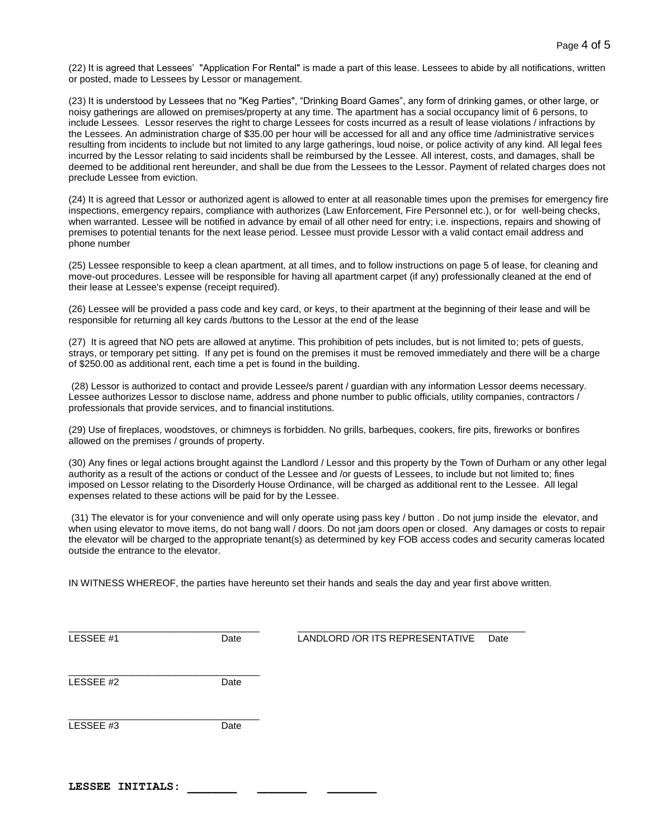(22) It is agreed that Lessees' "Application For Rental" is made a part of this lease. Lessees to abide by all notifications, written or posted, made to Lessees by Lessor or management.

(23) It is understood by Lessees that no "Keg Parties", "Drinking Board Games", any form of drinking games, or other large, or noisy gatherings are allowed on premises/property at any time. The apartment has a social occupancy limit of 6 persons, to include Lessees. Lessor reserves the right to charge Lessees for costs incurred as a result of lease violations / infractions by the Lessees. An administration charge of \$35.00 per hour will be accessed for all and any office time /administrative services resulting from incidents to include but not limited to any large gatherings, loud noise, or police activity of any kind. All legal fees incurred by the Lessor relating to said incidents shall be reimbursed by the Lessee. All interest, costs, and damages, shall be deemed to be additional rent hereunder, and shall be due from the Lessees to the Lessor. Payment of related charges does not preclude Lessee from eviction.

(24) It is agreed that Lessor or authorized agent is allowed to enter at all reasonable times upon the premises for emergency fire inspections, emergency repairs, compliance with authorizes (Law Enforcement, Fire Personnel etc.), or for well-being checks, when warranted. Lessee will be notified in advance by email of all other need for entry; i.e. inspections, repairs and showing of premises to potential tenants for the next lease period. Lessee must provide Lessor with a valid contact email address and phone number

(25) Lessee responsible to keep a clean apartment, at all times, and to follow instructions on page 5 of lease, for cleaning and move-out procedures. Lessee will be responsible for having all apartment carpet (if any) professionally cleaned at the end of their lease at Lessee's expense (receipt required).

(26) Lessee will be provided a pass code and key card, or keys, to their apartment at the beginning of their lease and will be responsible for returning all key cards /buttons to the Lessor at the end of the lease

(27) It is agreed that NO pets are allowed at anytime. This prohibition of pets includes, but is not limited to; pets of guests, strays, or temporary pet sitting. If any pet is found on the premises it must be removed immediately and there will be a charge of \$250.00 as additional rent, each time a pet is found in the building.

(28) Lessor is authorized to contact and provide Lessee/s parent / guardian with any information Lessor deems necessary. Lessee authorizes Lessor to disclose name, address and phone number to public officials, utility companies, contractors / professionals that provide services, and to financial institutions.

(29) Use of fireplaces, woodstoves, or chimneys is forbidden. No grills, barbeques, cookers, fire pits, fireworks or bonfires allowed on the premises / grounds of property.

(30) Any fines or legal actions brought against the Landlord / Lessor and this property by the Town of Durham or any other legal authority as a result of the actions or conduct of the Lessee and /or guests of Lessees, to include but not limited to; fines imposed on Lessor relating to the Disorderly House Ordinance, will be charged as additional rent to the Lessee. All legal expenses related to these actions will be paid for by the Lessee.

(31) The elevator is for your convenience and will only operate using pass key / button . Do not jump inside the elevator, and when using elevator to move items, do not bang wall / doors. Do not jam doors open or closed. Any damages or costs to repair the elevator will be charged to the appropriate tenant(s) as determined by key FOB access codes and security cameras located outside the entrance to the elevator.

IN WITNESS WHEREOF, the parties have hereunto set their hands and seals the day and year first above written.

| LESSEE #1 | Date | LANDLORD /OR ITS REPRESENTATIVE | Date |
|-----------|------|---------------------------------|------|
| LESSEE #2 | Date |                                 |      |
| LESSEE #3 | Date |                                 |      |
|           |      |                                 |      |

**LESSEE INITIALS: \_\_\_\_\_\_\_ \_\_\_\_\_\_\_ \_\_\_\_\_\_\_**